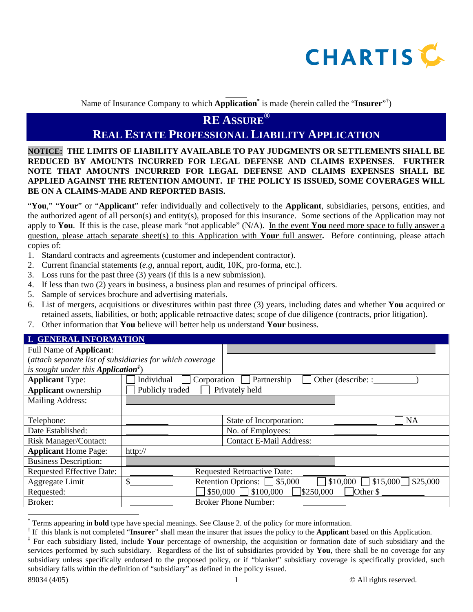

Name of Insurance Company to which **Application\*** is made (herein called the "**Insurer**" † )

l

## **RE ASSURE®**

# **REAL ESTATE PROFESSIONAL LIABILITY APPLICATION**

**NOTICE: THE LIMITS OF LIABILITY AVAILABLE TO PAY JUDGMENTS OR SETTLEMENTS SHALL BE REDUCED BY AMOUNTS INCURRED FOR LEGAL DEFENSE AND CLAIMS EXPENSES. FURTHER NOTE THAT AMOUNTS INCURRED FOR LEGAL DEFENSE AND CLAIMS EXPENSES SHALL BE APPLIED AGAINST THE RETENTION AMOUNT. IF THE POLICY IS ISSUED, SOME COVERAGES WILL BE ON A CLAIMS-MADE AND REPORTED BASIS.** 

"**You**," "**Your**" or "**Applicant**" refer individually and collectively to the **Applicant**, subsidiaries, persons, entities, and the authorized agent of all person(s) and entity(s), proposed for this insurance. Some sections of the Application may not apply to **You**. If this is the case, please mark "not applicable" (N/A). In the event **You** need more space to fully answer a question, please attach separate sheet(s) to this Application with **Your** full answer**.** Before continuing, please attach copies of:

- 1. Standard contracts and agreements (customer and independent contractor).
- 2. Current financial statements (*e.g*, annual report, audit, 10K, pro-forma, etc.).
- 3. Loss runs for the past three (3) years (if this is a new submission).
- 4. If less than two (2) years in business, a business plan and resumes of principal officers.
- 5. Sample of services brochure and advertising materials.
- 6. List of mergers, acquisitions or divestitures within past three (3) years, including dates and whether **You** acquired or retained assets, liabilities, or both; applicable retroactive dates; scope of due diligence (contracts, prior litigation).
- 7. Other information that **You** believe will better help us understand **Your** business.

| <b>I. GENERAL INFORMATION</b>                                              |                           |                                    |                                       |  |  |  |  |
|----------------------------------------------------------------------------|---------------------------|------------------------------------|---------------------------------------|--|--|--|--|
| <b>Full Name of Applicant:</b>                                             |                           |                                    |                                       |  |  |  |  |
| (attach separate list of subsidiaries for which coverage                   |                           |                                    |                                       |  |  |  |  |
| is sought under this <b>Application</b> <sup><math>\ddagger</math></sup> ) |                           |                                    |                                       |  |  |  |  |
| <b>Applicant Type:</b>                                                     | Corporation<br>Individual | Partnership                        | Other (describe: :                    |  |  |  |  |
| <b>Applicant</b> ownership                                                 | Publicly traded           | Privately held                     |                                       |  |  |  |  |
| <b>Mailing Address:</b>                                                    |                           |                                    |                                       |  |  |  |  |
|                                                                            |                           |                                    |                                       |  |  |  |  |
| Telephone:                                                                 |                           | State of Incorporation:            | <b>NA</b>                             |  |  |  |  |
| Date Established:                                                          |                           | No. of Employees:                  |                                       |  |  |  |  |
| <b>Risk Manager/Contact:</b>                                               |                           | <b>Contact E-Mail Address:</b>     |                                       |  |  |  |  |
| <b>Applicant Home Page:</b>                                                | $\frac{http://}{$         |                                    |                                       |  |  |  |  |
| <b>Business Description:</b>                                               |                           |                                    |                                       |  |  |  |  |
| <b>Requested Effective Date:</b>                                           |                           | <b>Requested Retroactive Date:</b> |                                       |  |  |  |  |
| Aggregate Limit                                                            | \$                        | Retention Options: $\Box$ \$5,000  | $$10,000$ \$15,000 \$25,000           |  |  |  |  |
| Requested:                                                                 |                           | $$50,000$ \[ \$100,000<br>3250,000 | $\overline{\overline{\text{Other}}}\$ |  |  |  |  |
| Broker:                                                                    |                           | <b>Broker Phone Number:</b>        |                                       |  |  |  |  |

 $\overline{a}$ 

<sup>\*</sup> Terms appearing in **bold** type have special meanings. See Clause 2. of the policy for more information.

<sup>†</sup> If this blank is not completed "**Insurer**" shall mean the insurer that issues the policy to the **Applicant** based on this Application.

<sup>‡</sup> For each subsidiary listed, include **Your** percentage of ownership, the acquisition or formation date of such subsidiary and the services performed by such subsidiary. Regardless of the list of subsidiaries provided by **You**, there shall be no coverage for any subsidiary unless specifically endorsed to the proposed policy, or if "blanket" subsidiary coverage is specifically provided, such subsidiary falls within the definition of "subsidiary" as defined in the policy issued.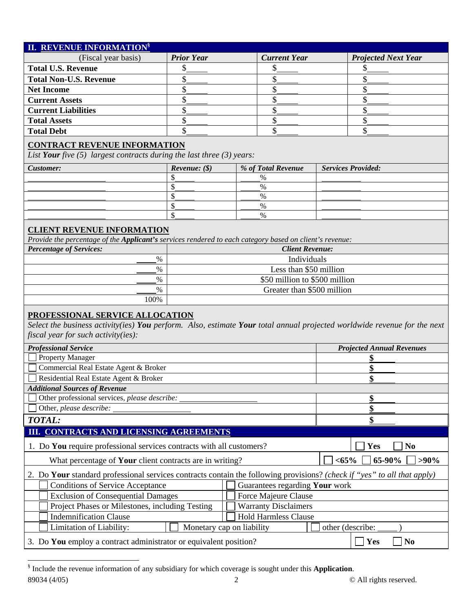| <b>II. REVENUE INFORMATIONS</b>                                                                                                                                                                    |                                       |  |                               |  |                                  |  |  |
|----------------------------------------------------------------------------------------------------------------------------------------------------------------------------------------------------|---------------------------------------|--|-------------------------------|--|----------------------------------|--|--|
| (Fiscal year basis)                                                                                                                                                                                | <b>Prior Year</b>                     |  | <b>Current Year</b>           |  | <b>Projected Next Year</b>       |  |  |
| <b>Total U.S. Revenue</b>                                                                                                                                                                          | \$                                    |  | \$                            |  | \$                               |  |  |
| <b>Total Non-U.S. Revenue</b>                                                                                                                                                                      | \$                                    |  | \$                            |  | \$                               |  |  |
| <b>Net Income</b>                                                                                                                                                                                  | \$                                    |  | \$                            |  | \$                               |  |  |
| <b>Current Assets</b>                                                                                                                                                                              | \$                                    |  | \$                            |  | \$                               |  |  |
| <b>Current Liabilities</b>                                                                                                                                                                         | \$                                    |  | \$                            |  | \$                               |  |  |
| <b>Total Assets</b>                                                                                                                                                                                | \$                                    |  | \$                            |  | \$                               |  |  |
| <b>Total Debt</b>                                                                                                                                                                                  | \$                                    |  | \$                            |  | \$                               |  |  |
| <b>CONTRACT REVENUE INFORMATION</b>                                                                                                                                                                |                                       |  |                               |  |                                  |  |  |
| List Your five $(5)$ largest contracts during the last three $(3)$ years:                                                                                                                          |                                       |  |                               |  |                                  |  |  |
| Customer:                                                                                                                                                                                          | <i>Revenue:</i> $(\$)$                |  | % of Total Revenue            |  | <b>Services Provided:</b>        |  |  |
|                                                                                                                                                                                                    | \$                                    |  | %                             |  |                                  |  |  |
|                                                                                                                                                                                                    | \$                                    |  | %                             |  |                                  |  |  |
|                                                                                                                                                                                                    | \$                                    |  | %                             |  |                                  |  |  |
|                                                                                                                                                                                                    | \$                                    |  | $\%$                          |  |                                  |  |  |
|                                                                                                                                                                                                    | \$                                    |  | $\%$                          |  |                                  |  |  |
| <b>CLIENT REVENUE INFORMATION</b>                                                                                                                                                                  |                                       |  |                               |  |                                  |  |  |
| Provide the percentage of the Applicant's services rendered to each category based on client's revenue:<br><b>Percentage of Services:</b>                                                          |                                       |  |                               |  |                                  |  |  |
| $\%$                                                                                                                                                                                               | <b>Client Revenue:</b><br>Individuals |  |                               |  |                                  |  |  |
| $\%$                                                                                                                                                                                               |                                       |  | Less than \$50 million        |  |                                  |  |  |
| $\%$                                                                                                                                                                                               |                                       |  | \$50 million to \$500 million |  |                                  |  |  |
| $\%$                                                                                                                                                                                               |                                       |  |                               |  |                                  |  |  |
| Greater than \$500 million<br>100%                                                                                                                                                                 |                                       |  |                               |  |                                  |  |  |
| PROFESSIONAL SERVICE ALLOCATION<br>Select the business activity(ies) You perform. Also, estimate Your total annual projected worldwide revenue for the next<br>fiscal year for such activity(ies): |                                       |  |                               |  |                                  |  |  |
| <b>Professional Service</b>                                                                                                                                                                        |                                       |  |                               |  | <b>Projected Annual Revenues</b> |  |  |
| <b>Property Manager</b>                                                                                                                                                                            |                                       |  |                               |  |                                  |  |  |
| Commercial Real Estate Agent & Broker                                                                                                                                                              |                                       |  |                               |  |                                  |  |  |
| Residential Real Estate Agent & Broker                                                                                                                                                             |                                       |  |                               |  |                                  |  |  |
| <b>Additional Sources of Revenue</b>                                                                                                                                                               |                                       |  |                               |  |                                  |  |  |
| Other professional services, please describe:                                                                                                                                                      |                                       |  |                               |  | \$                               |  |  |
| Other, please describe:                                                                                                                                                                            |                                       |  |                               |  | \$                               |  |  |
| <b>TOTAL:</b>                                                                                                                                                                                      |                                       |  |                               |  | \$                               |  |  |
| III. CONTRACTS AND LICENSING AGREEMENTS                                                                                                                                                            |                                       |  |                               |  |                                  |  |  |
| 1. Do You require professional services contracts with all customers?<br>Yes<br>N <sub>0</sub>                                                                                                     |                                       |  |                               |  |                                  |  |  |
| What percentage of Your client contracts are in writing?                                                                                                                                           |                                       |  |                               |  | $< 65\%$<br>65-90%<br>$>90\%$    |  |  |
| 2. Do Your standard professional services contracts contain the following provisions? (check if "yes" to all that apply)                                                                           |                                       |  |                               |  |                                  |  |  |
| <b>Conditions of Service Acceptance</b><br>Guarantees regarding Your work                                                                                                                          |                                       |  |                               |  |                                  |  |  |
| <b>Exclusion of Consequential Damages</b>                                                                                                                                                          |                                       |  |                               |  |                                  |  |  |
| Force Majeure Clause<br>Project Phases or Milestones, including Testing<br><b>Warranty Disclaimers</b>                                                                                             |                                       |  |                               |  |                                  |  |  |
| <b>Hold Harmless Clause</b><br><b>Indemnification Clause</b>                                                                                                                                       |                                       |  |                               |  |                                  |  |  |
| Limitation of Liability:<br>Monetary cap on liability<br>other (describe:                                                                                                                          |                                       |  |                               |  |                                  |  |  |
|                                                                                                                                                                                                    |                                       |  |                               |  |                                  |  |  |
| 3. Do You employ a contract administrator or equivalent position?<br>Yes<br><b>No</b>                                                                                                              |                                       |  |                               |  |                                  |  |  |

89034 (4/05) 2 © All rights reserved. § Include the revenue information of any subsidiary for which coverage is sought under this **Application**.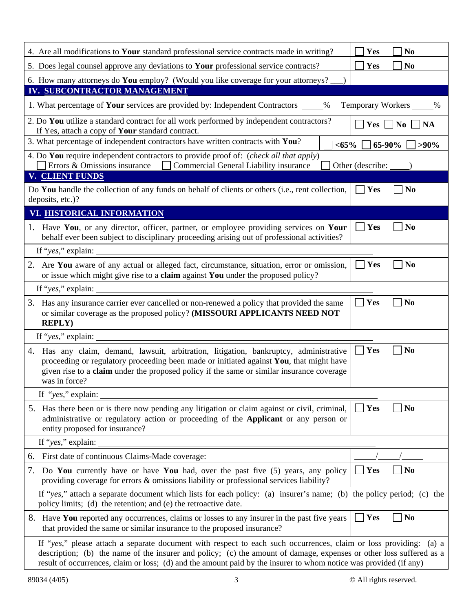| 4. Are all modifications to Your standard professional service contracts made in writing?                                                                                                                                                                                                                                                                     | Yes<br>N <sub>0</sub>            |  |  |  |  |
|---------------------------------------------------------------------------------------------------------------------------------------------------------------------------------------------------------------------------------------------------------------------------------------------------------------------------------------------------------------|----------------------------------|--|--|--|--|
| 5. Does legal counsel approve any deviations to <b>Your</b> professional service contracts?                                                                                                                                                                                                                                                                   | Yes<br>N <sub>0</sub>            |  |  |  |  |
| 6. How many attorneys do You employ? (Would you like coverage for your attorneys?                                                                                                                                                                                                                                                                             |                                  |  |  |  |  |
| IV. SUBCONTRACTOR MANAGEMENT                                                                                                                                                                                                                                                                                                                                  |                                  |  |  |  |  |
| 1. What percentage of Your services are provided by: Independent Contractors _____ %                                                                                                                                                                                                                                                                          | Temporary Workers _____%         |  |  |  |  |
| 2. Do You utilize a standard contract for all work performed by independent contractors?<br>$Yes \Box No$<br><b>NA</b><br>If Yes, attach a copy of Your standard contract.                                                                                                                                                                                    |                                  |  |  |  |  |
| 3. What percentage of independent contractors have written contracts with You?<br>65-90%<br>$<$ 65%<br>$>90\%$                                                                                                                                                                                                                                                |                                  |  |  |  |  |
| 4. Do You require independent contractors to provide proof of: (check all that apply)<br>Errors & Omissions insurance<br>Commercial General Liability insurance<br>Other (describe:                                                                                                                                                                           |                                  |  |  |  |  |
| V. CLIENT FUNDS                                                                                                                                                                                                                                                                                                                                               |                                  |  |  |  |  |
| Do You handle the collection of any funds on behalf of clients or others (i.e., rent collection,<br>deposits, etc.)?                                                                                                                                                                                                                                          | Yes<br>N <sub>0</sub>            |  |  |  |  |
| VI. HISTORICAL INFORMATION                                                                                                                                                                                                                                                                                                                                    |                                  |  |  |  |  |
| 1. Have You, or any director, officer, partner, or employee providing services on Your<br>behalf ever been subject to disciplinary proceeding arising out of professional activities?                                                                                                                                                                         | Yes<br>N <sub>0</sub><br>$\perp$ |  |  |  |  |
|                                                                                                                                                                                                                                                                                                                                                               |                                  |  |  |  |  |
| 2. Are You aware of any actual or alleged fact, circumstance, situation, error or omission,<br>or issue which might give rise to a claim against You under the proposed policy?                                                                                                                                                                               | Yes<br>N <sub>0</sub>            |  |  |  |  |
| If "yes," explain:                                                                                                                                                                                                                                                                                                                                            |                                  |  |  |  |  |
| Yes<br>N <sub>0</sub><br>3. Has any insurance carrier ever cancelled or non-renewed a policy that provided the same<br>or similar coverage as the proposed policy? (MISSOURI APPLICANTS NEED NOT<br><b>REPLY)</b>                                                                                                                                             |                                  |  |  |  |  |
| If "yes," explain:                                                                                                                                                                                                                                                                                                                                            |                                  |  |  |  |  |
| Has any claim, demand, lawsuit, arbitration, litigation, bankruptcy, administrative<br>4.<br>proceeding or regulatory proceeding been made or initiated against You, that might have<br>given rise to a <b>claim</b> under the proposed policy if the same or similar insurance coverage<br>was in force?                                                     | Yes<br>N <sub>0</sub>            |  |  |  |  |
| If "yes," explain:                                                                                                                                                                                                                                                                                                                                            |                                  |  |  |  |  |
| 5. Has there been or is there now pending any litigation or claim against or civil, criminal,<br>administrative or regulatory action or proceeding of the <b>Applicant</b> or any person or<br>entity proposed for insurance?                                                                                                                                 | $\mathbf{Yes}$<br><b>No</b>      |  |  |  |  |
| If "yes," explain:                                                                                                                                                                                                                                                                                                                                            |                                  |  |  |  |  |
| First date of continuous Claims-Made coverage:<br>6.                                                                                                                                                                                                                                                                                                          |                                  |  |  |  |  |
| Do You currently have or have You had, over the past five (5) years, any policy<br>7.<br>providing coverage for errors & omissions liability or professional services liability?                                                                                                                                                                              | Yes<br>N <sub>0</sub>            |  |  |  |  |
| If "yes," attach a separate document which lists for each policy: (a) insurer's name; (b) the policy period; (c) the<br>policy limits; (d) the retention; and (e) the retroactive date.                                                                                                                                                                       |                                  |  |  |  |  |
| Have You reported any occurrences, claims or losses to any insurer in the past five years<br>8.<br>that provided the same or similar insurance to the proposed insurance?                                                                                                                                                                                     | Yes<br>N <sub>0</sub>            |  |  |  |  |
| If "yes," please attach a separate document with respect to each such occurrences, claim or loss providing: (a) a<br>description; (b) the name of the insurer and policy; (c) the amount of damage, expenses or other loss suffered as a<br>result of occurrences, claim or loss; (d) and the amount paid by the insurer to whom notice was provided (if any) |                                  |  |  |  |  |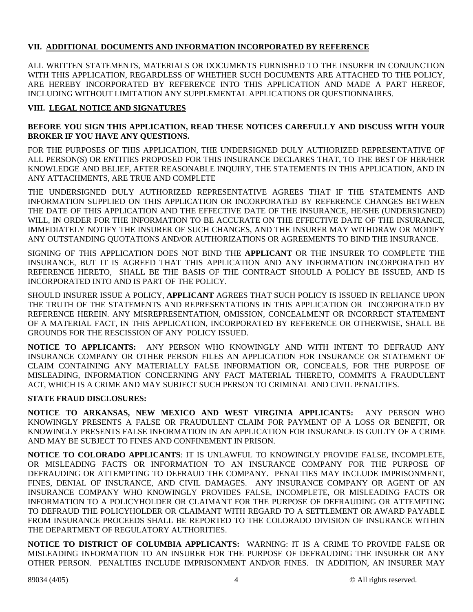### **VII. ADDITIONAL DOCUMENTS AND INFORMATION INCORPORATED BY REFERENCE**

ALL WRITTEN STATEMENTS, MATERIALS OR DOCUMENTS FURNISHED TO THE INSURER IN CONJUNCTION WITH THIS APPLICATION, REGARDLESS OF WHETHER SUCH DOCUMENTS ARE ATTACHED TO THE POLICY, ARE HEREBY INCORPORATED BY REFERENCE INTO THIS APPLICATION AND MADE A PART HEREOF, INCLUDING WITHOUT LIMITATION ANY SUPPLEMENTAL APPLICATIONS OR QUESTIONNAIRES.

#### **VIII. LEGAL NOTICE AND SIGNATURES**

#### **BEFORE YOU SIGN THIS APPLICATION, READ THESE NOTICES CAREFULLY AND DISCUSS WITH YOUR BROKER IF YOU HAVE ANY QUESTIONS.**

FOR THE PURPOSES OF THIS APPLICATION, THE UNDERSIGNED DULY AUTHORIZED REPRESENTATIVE OF ALL PERSON(S) OR ENTITIES PROPOSED FOR THIS INSURANCE DECLARES THAT, TO THE BEST OF HER/HER KNOWLEDGE AND BELIEF, AFTER REASONABLE INQUIRY, THE STATEMENTS IN THIS APPLICATION, AND IN ANY ATTACHMENTS, ARE TRUE AND COMPLETE

THE UNDERSIGNED DULY AUTHORIZED REPRESENTATIVE AGREES THAT IF THE STATEMENTS AND INFORMATION SUPPLIED ON THIS APPLICATION OR INCORPORATED BY REFERENCE CHANGES BETWEEN THE DATE OF THIS APPLICATION AND THE EFFECTIVE DATE OF THE INSURANCE, HE/SHE (UNDERSIGNED) WILL, IN ORDER FOR THE INFORMATION TO BE ACCURATE ON THE EFFECTIVE DATE OF THE INSURANCE, IMMEDIATELY NOTIFY THE INSURER OF SUCH CHANGES, AND THE INSURER MAY WITHDRAW OR MODIFY ANY OUTSTANDING QUOTATIONS AND/OR AUTHORIZATIONS OR AGREEMENTS TO BIND THE INSURANCE.

SIGNING OF THIS APPLICATION DOES NOT BIND THE **APPLICANT** OR THE INSURER TO COMPLETE THE INSURANCE, BUT IT IS AGREED THAT THIS APPLICATION AND ANY INFORMATION INCORPORATED BY REFERENCE HERETO, SHALL BE THE BASIS OF THE CONTRACT SHOULD A POLICY BE ISSUED, AND IS INCORPORATED INTO AND IS PART OF THE POLICY.

SHOULD INSURER ISSUE A POLICY, **APPLICANT** AGREES THAT SUCH POLICY IS ISSUED IN RELIANCE UPON THE TRUTH OF THE STATEMENTS AND REPRESENTATIONS IN THIS APPLICATION OR INCORPORATED BY REFERENCE HEREIN. ANY MISREPRESENTATION, OMISSION, CONCEALMENT OR INCORRECT STATEMENT OF A MATERIAL FACT, IN THIS APPLICATION, INCORPORATED BY REFERENCE OR OTHERWISE, SHALL BE GROUNDS FOR THE RESCISSION OF ANY POLICY ISSUED.

**NOTICE TO APPLICANTS:** ANY PERSON WHO KNOWINGLY AND WITH INTENT TO DEFRAUD ANY INSURANCE COMPANY OR OTHER PERSON FILES AN APPLICATION FOR INSURANCE OR STATEMENT OF CLAIM CONTAINING ANY MATERIALLY FALSE INFORMATION OR, CONCEALS, FOR THE PURPOSE OF MISLEADING, INFORMATION CONCERNING ANY FACT MATERIAL THERETO, COMMITS A FRAUDULENT ACT, WHICH IS A CRIME AND MAY SUBJECT SUCH PERSON TO CRIMINAL AND CIVIL PENALTIES.

#### **STATE FRAUD DISCLOSURES:**

**NOTICE TO ARKANSAS, NEW MEXICO AND WEST VIRGINIA APPLICANTS:** ANY PERSON WHO KNOWINGLY PRESENTS A FALSE OR FRAUDULENT CLAIM FOR PAYMENT OF A LOSS OR BENEFIT, OR KNOWINGLY PRESENTS FALSE INFORMATION IN AN APPLICATION FOR INSURANCE IS GUILTY OF A CRIME AND MAY BE SUBJECT TO FINES AND CONFINEMENT IN PRISON.

**NOTICE TO COLORADO APPLICANTS**: IT IS UNLAWFUL TO KNOWINGLY PROVIDE FALSE, INCOMPLETE, OR MISLEADING FACTS OR INFORMATION TO AN INSURANCE COMPANY FOR THE PURPOSE OF DEFRAUDING OR ATTEMPTING TO DEFRAUD THE COMPANY. PENALTIES MAY INCLUDE IMPRISONMENT, FINES, DENIAL OF INSURANCE, AND CIVIL DAMAGES. ANY INSURANCE COMPANY OR AGENT OF AN INSURANCE COMPANY WHO KNOWINGLY PROVIDES FALSE, INCOMPLETE, OR MISLEADING FACTS OR INFORMATION TO A POLICYHOLDER OR CLAIMANT FOR THE PURPOSE OF DEFRAUDING OR ATTEMPTING TO DEFRAUD THE POLICYHOLDER OR CLAIMANT WITH REGARD TO A SETTLEMENT OR AWARD PAYABLE FROM INSURANCE PROCEEDS SHALL BE REPORTED TO THE COLORADO DIVISION OF INSURANCE WITHIN THE DEPARTMENT OF REGULATORY AUTHORITIES.

**NOTICE TO DISTRICT OF COLUMBIA APPLICANTS:** WARNING: IT IS A CRIME TO PROVIDE FALSE OR MISLEADING INFORMATION TO AN INSURER FOR THE PURPOSE OF DEFRAUDING THE INSURER OR ANY OTHER PERSON. PENALTIES INCLUDE IMPRISONMENT AND/OR FINES. IN ADDITION, AN INSURER MAY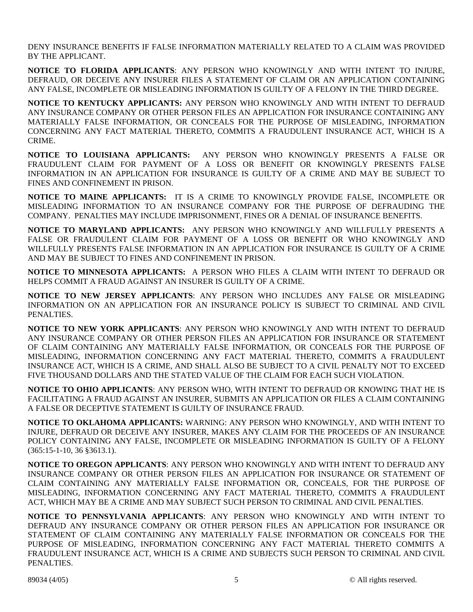DENY INSURANCE BENEFITS IF FALSE INFORMATION MATERIALLY RELATED TO A CLAIM WAS PROVIDED BY THE APPLICANT.

**NOTICE TO FLORIDA APPLICANTS**: ANY PERSON WHO KNOWINGLY AND WITH INTENT TO INJURE, DEFRAUD, OR DECEIVE ANY INSURER FILES A STATEMENT OF CLAIM OR AN APPLICATION CONTAINING ANY FALSE, INCOMPLETE OR MISLEADING INFORMATION IS GUILTY OF A FELONY IN THE THIRD DEGREE.

**NOTICE TO KENTUCKY APPLICANTS:** ANY PERSON WHO KNOWINGLY AND WITH INTENT TO DEFRAUD ANY INSURANCE COMPANY OR OTHER PERSON FILES AN APPLICATION FOR INSURANCE CONTAINING ANY MATERIALLY FALSE INFORMATION, OR CONCEALS FOR THE PURPOSE OF MISLEADING, INFORMATION CONCERNING ANY FACT MATERIAL THERETO, COMMITS A FRAUDULENT INSURANCE ACT, WHICH IS A CRIME.

**NOTICE TO LOUISIANA APPLICANTS:** ANY PERSON WHO KNOWINGLY PRESENTS A FALSE OR FRAUDULENT CLAIM FOR PAYMENT OF A LOSS OR BENEFIT OR KNOWINGLY PRESENTS FALSE INFORMATION IN AN APPLICATION FOR INSURANCE IS GUILTY OF A CRIME AND MAY BE SUBJECT TO FINES AND CONFINEMENT IN PRISON.

**NOTICE TO MAINE APPLICANTS:** IT IS A CRIME TO KNOWINGLY PROVIDE FALSE, INCOMPLETE OR MISLEADING INFORMATION TO AN INSURANCE COMPANY FOR THE PURPOSE OF DEFRAUDING THE COMPANY. PENALTIES MAY INCLUDE IMPRISONMENT, FINES OR A DENIAL OF INSURANCE BENEFITS.

**NOTICE TO MARYLAND APPLICANTS:** ANY PERSON WHO KNOWINGLY AND WILLFULLY PRESENTS A FALSE OR FRAUDULENT CLAIM FOR PAYMENT OF A LOSS OR BENEFIT OR WHO KNOWINGLY AND WILLFULLY PRESENTS FALSE INFORMATION IN AN APPLICATION FOR INSURANCE IS GUILTY OF A CRIME AND MAY BE SUBJECT TO FINES AND CONFINEMENT IN PRISON.

**NOTICE TO MINNESOTA APPLICANTS:** A PERSON WHO FILES A CLAIM WITH INTENT TO DEFRAUD OR HELPS COMMIT A FRAUD AGAINST AN INSURER IS GUILTY OF A CRIME.

**NOTICE TO NEW JERSEY APPLICANTS**: ANY PERSON WHO INCLUDES ANY FALSE OR MISLEADING INFORMATION ON AN APPLICATION FOR AN INSURANCE POLICY IS SUBJECT TO CRIMINAL AND CIVIL PENALTIES.

**NOTICE TO NEW YORK APPLICANTS**: ANY PERSON WHO KNOWINGLY AND WITH INTENT TO DEFRAUD ANY INSURANCE COMPANY OR OTHER PERSON FILES AN APPLICATION FOR INSURANCE OR STATEMENT OF CLAIM CONTAINING ANY MATERIALLY FALSE INFORMATION, OR CONCEALS FOR THE PURPOSE OF MISLEADING, INFORMATION CONCERNING ANY FACT MATERIAL THERETO, COMMITS A FRAUDULENT INSURANCE ACT, WHICH IS A CRIME, AND SHALL ALSO BE SUBJECT TO A CIVIL PENALTY NOT TO EXCEED FIVE THOUSAND DOLLARS AND THE STATED VALUE OF THE CLAIM FOR EACH SUCH VIOLATION.

**NOTICE TO OHIO APPLICANTS**: ANY PERSON WHO, WITH INTENT TO DEFRAUD OR KNOWING THAT HE IS FACILITATING A FRAUD AGAINST AN INSURER, SUBMITS AN APPLICATION OR FILES A CLAIM CONTAINING A FALSE OR DECEPTIVE STATEMENT IS GUILTY OF INSURANCE FRAUD.

**NOTICE TO OKLAHOMA APPLICANTS:** WARNING: ANY PERSON WHO KNOWINGLY, AND WITH INTENT TO INJURE, DEFRAUD OR DECEIVE ANY INSURER, MAKES ANY CLAIM FOR THE PROCEEDS OF AN INSURANCE POLICY CONTAINING ANY FALSE, INCOMPLETE OR MISLEADING INFORMATION IS GUILTY OF A FELONY (365:15-1-10, 36 §3613.1).

**NOTICE TO OREGON APPLICANTS**: ANY PERSON WHO KNOWINGLY AND WITH INTENT TO DEFRAUD ANY INSURANCE COMPANY OR OTHER PERSON FILES AN APPLICATION FOR INSURANCE OR STATEMENT OF CLAIM CONTAINING ANY MATERIALLY FALSE INFORMATION OR, CONCEALS, FOR THE PURPOSE OF MISLEADING, INFORMATION CONCERNING ANY FACT MATERIAL THERETO, COMMITS A FRAUDULENT ACT, WHICH MAY BE A CRIME AND MAY SUBJECT SUCH PERSON TO CRIMINAL AND CIVIL PENALTIES.

**NOTICE TO PENNSYLVANIA APPLICANTS**: ANY PERSON WHO KNOWINGLY AND WITH INTENT TO DEFRAUD ANY INSURANCE COMPANY OR OTHER PERSON FILES AN APPLICATION FOR INSURANCE OR STATEMENT OF CLAIM CONTAINING ANY MATERIALLY FALSE INFORMATION OR CONCEALS FOR THE PURPOSE OF MISLEADING, INFORMATION CONCERNING ANY FACT MATERIAL THERETO COMMITS A FRAUDULENT INSURANCE ACT, WHICH IS A CRIME AND SUBJECTS SUCH PERSON TO CRIMINAL AND CIVIL PENALTIES.